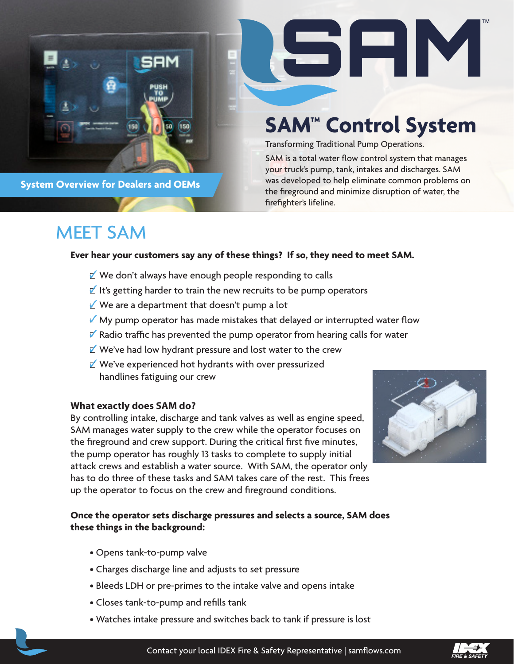

**System Overview for Dealers and OEMs**

# **SAM™ Control System**

51 E I M

Transforming Traditional Pump Operations.

SAM is a total water flow control system that manages your truck's pump, tank, intakes and discharges. SAM was developed to help eliminate common problems on the fireground and minimize disruption of water, the firefighter's lifeline.

# MEET SAM

#### **Ever hear your customers say any of these things? If so, they need to meet SAM.**

- $\Delta$  We don't always have enough people responding to calls
- $\mathbb I$  It's getting harder to train the new recruits to be pump operators
- $\blacksquare$  We are a department that doesn't pump a lot
- $\blacksquare$  My pump operator has made mistakes that delayed or interrupted water flow
- $\blacksquare$  Radio traffic has prevented the pump operator from hearing calls for water
- $\Delta$  We've had low hydrant pressure and lost water to the crew
- We've experienced hot hydrants with over pressurized handlines fatiguing our crew

#### **What exactly does SAM do?**

By controlling intake, discharge and tank valves as well as engine speed, SAM manages water supply to the crew while the operator focuses on the fireground and crew support. During the critical first five minutes, the pump operator has roughly 13 tasks to complete to supply initial attack crews and establish a water source. With SAM, the operator only has to do three of these tasks and SAM takes care of the rest. This frees up the operator to focus on the crew and fireground conditions.

#### **Once the operator sets discharge pressures and selects a source, SAM does these things in the background:**

- Opens tank-to-pump valve
- Charges discharge line and adjusts to set pressure
- Bleeds LDH or pre-primes to the intake valve and opens intake
- Closes tank-to-pump and refills tank
- Watches intake pressure and switches back to tank if pressure is lost



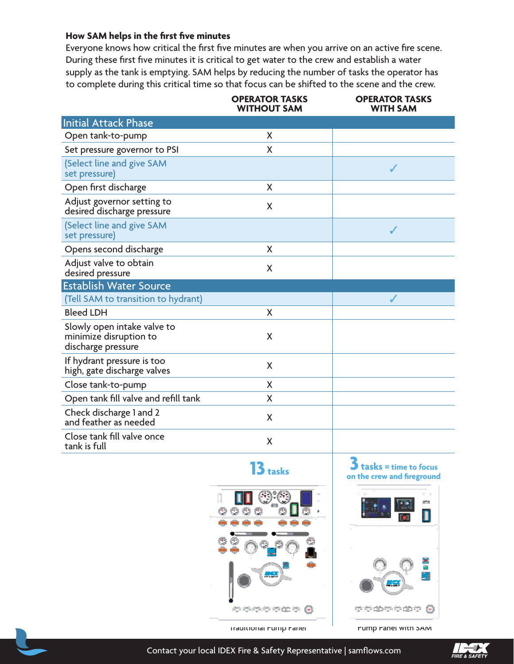#### **How SAM helps in the first five minutes**

Everyone knows how critical the first five minutes are when you arrive on an active fire scene. During these first five minutes it is critical to get water to the crew and establish a water supply as the tank is emptying. SAM helps by reducing the number of tasks the operator has to complete during this critical time so that focus can be shifted to the scene and the crew.

|                                                                             | <b>OPERATOR TASKS</b><br><b>WITHOUT SAM</b> | <b>OPERATOR TASKS</b><br><b>WITH SAM</b> |
|-----------------------------------------------------------------------------|---------------------------------------------|------------------------------------------|
| <b>Initial Attack Phase</b>                                                 |                                             |                                          |
| Open tank-to-pump                                                           | X                                           |                                          |
| Set pressure governor to PSI                                                | X                                           |                                          |
| (Select line and give SAM<br>set pressure)                                  |                                             |                                          |
| Open first discharge                                                        | X                                           |                                          |
| Adjust governor setting to<br>desired discharge pressure                    | X                                           |                                          |
| (Select line and give SAM<br>set pressure)                                  |                                             |                                          |
| Opens second discharge                                                      | X                                           |                                          |
| Adjust valve to obtain<br>desired pressure                                  | X                                           |                                          |
| <b>Establish Water Source</b>                                               |                                             |                                          |
| (Tell SAM to transition to hydrant)                                         |                                             |                                          |
| <b>Bleed LDH</b>                                                            | X                                           |                                          |
| Slowly open intake valve to<br>minimize disruption to<br>discharge pressure | X                                           |                                          |
| If hydrant pressure is too<br>high, gate discharge valves                   | X                                           |                                          |
| Close tank-to-pump                                                          | X                                           |                                          |
| Open tank fill valve and refill tank                                        | X                                           |                                          |
| Check discharge 1 and 2<br>and feather as needed                            | X                                           |                                          |
| Close tank fill valve once<br>tank is full                                  | X                                           |                                          |





**13** tasks  $\begin{matrix} 3 \\ 3 \end{matrix}$  tasks = time to focus on the crew and fireground



Traditional Pump Panel Pump Panel with SAM

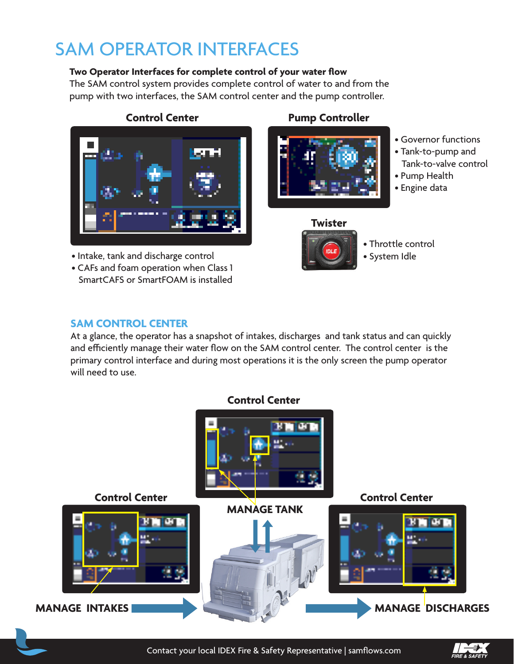# SAM OPERATOR INTERFACES

#### **Two Operator Interfaces for complete control of your water flow**

The SAM control system provides complete control of water to and from the pump with two interfaces, the SAM control center and the pump controller.



• Intake, tank and discharge control

• CAFs and foam operation when Class 1 SmartCAFS or SmartFOAM is installed

### **Control Center Pump Controller**



- Governor functions
- Tank-to-pump and Tank-to-valve control
- Pump Health
- Engine data



• Throttle control • System Idle

### **SAM CONTROL CENTER**

At a glance, the operator has a snapshot of intakes, discharges and tank status and can quickly and efficiently manage their water flow on the SAM control center. The control center is the primary control interface and during most operations it is the only screen the pump operator will need to use.



Contact your local IDEX Fire & Safety Representative | samflows.com